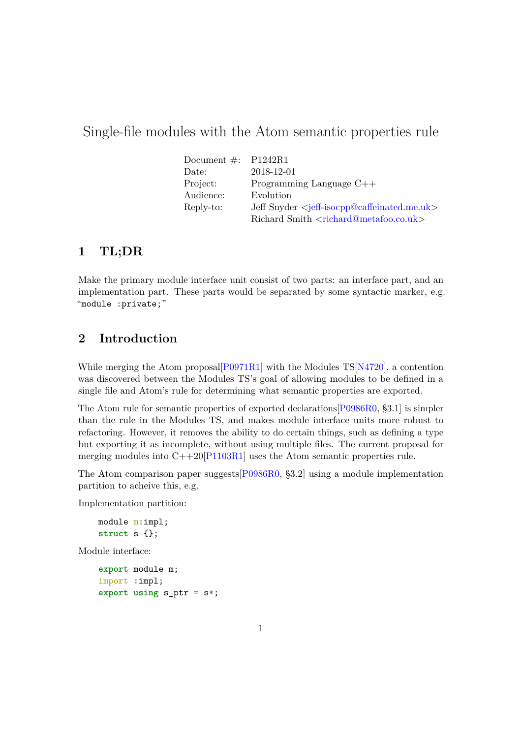# Single-file modules with the Atom semantic properties rule

| Document $\#$ : P1242R1 |                                                               |
|-------------------------|---------------------------------------------------------------|
| Date:                   | 2018-12-01                                                    |
| Project:                | Programming Language $C++$                                    |
| Audience:               | Evolution                                                     |
| Reply-to:               | Jeff Snyder $\leq$ jeff-isocpp@caffeinated.me.uk>             |
|                         | Richard Smith <richard@metafoo.co.uk></richard@metafoo.co.uk> |

## **1 TL;DR**

Make the primary module interface unit consist of two parts: an interface part, and an implementation part. These parts would be separated by some syntactic marker, e.g. "module :private;"

## **2 Introduction**

While merging the Atom proposal  $[PO971R1]$  with the Modules TS $[N4720]$ , a contention was discovered between the Modules TS's goal of allowing modules to be defined in a single file and Atom's rule for determining what semantic properties are exported.

The Atom rule for semantic properties of exported declarations[\[P0986R0,](#page-4-2) §3.1] is simpler than the rule in the Modules TS, and makes module interface units more robust to refactoring. However, it removes the ability to do certain things, such as defining a type but exporting it as incomplete, without using multiple files. The current proposal for merging modules into  $C++20$ [\[P1103R1\]](#page-4-3) uses the Atom semantic properties rule.

The Atom comparison paper suggests[\[P0986R0,](#page-4-2) §3.2] using a module implementation partition to acheive this, e.g.

Implementation partition:

```
module m:impl;
struct s {};
```
Module interface:

```
export module m;
import :impl;
export using s_ptr = s*;
```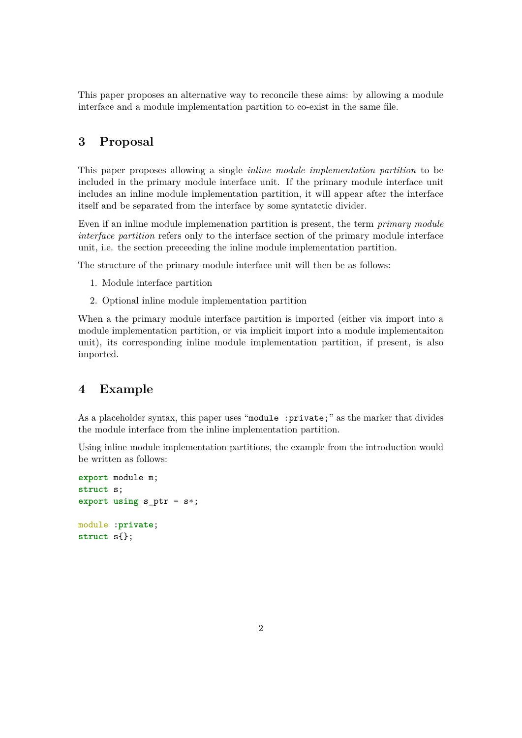This paper proposes an alternative way to reconcile these aims: by allowing a module interface and a module implementation partition to co-exist in the same file.

## **3 Proposal**

This paper proposes allowing a single *inline module implementation partition* to be included in the primary module interface unit. If the primary module interface unit includes an inline module implementation partition, it will appear after the interface itself and be separated from the interface by some syntatctic divider.

Even if an inline module implemenation partition is present, the term *primary module interface partition* refers only to the interface section of the primary module interface unit, i.e. the section preceeding the inline module implementation partition.

The structure of the primary module interface unit will then be as follows:

- 1. Module interface partition
- 2. Optional inline module implementation partition

When a the primary module interface partition is imported (either via import into a module implementation partition, or via implicit import into a module implementaiton unit), its corresponding inline module implementation partition, if present, is also imported.

### **4 Example**

As a placeholder syntax, this paper uses "module: private;" as the marker that divides the module interface from the inline implementation partition.

Using inline module implementation partitions, the example from the introduction would be written as follows:

```
export module m;
struct s;
export using s<sub>-p</sub>tr = s<sup>*</sup>;
module :private;
struct s{};
```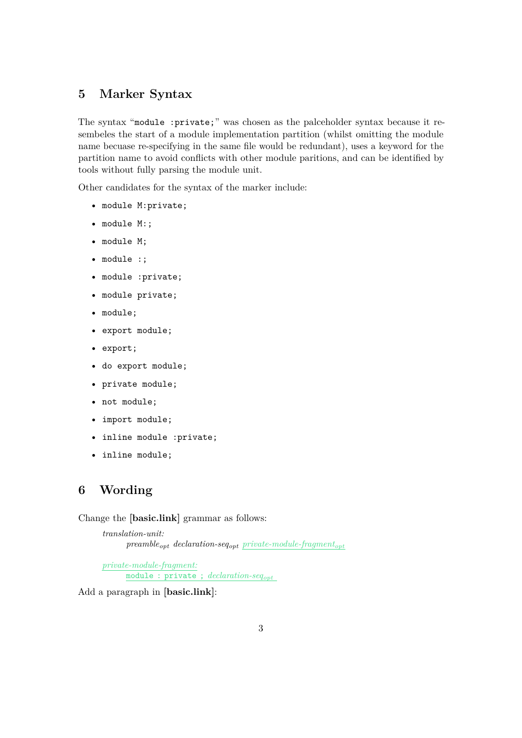## **5 Marker Syntax**

The syntax "module :private;" was chosen as the palceholder syntax because it resembeles the start of a module implementation partition (whilst omitting the module name becuase re-specifying in the same file would be redundant), uses a keyword for the partition name to avoid conflicts with other module paritions, and can be identified by tools without fully parsing the module unit.

Other candidates for the syntax of the marker include:

- module M:private;
- module M:;
- module M;
- module :;
- module :private;
- module private;
- module;
- export module;
- export;
- do export module;
- private module;
- not module;
- import module;
- inline module :private;
- inline module;

### **6 Wording**

Change the **[basic.link]** grammar as follows:

```
translation-unit:
     preambleopt declaration-seqopt private-module-fragmentopt
```
*private-module-fragment:* module : private ; *declaration-seqopt*

Add a paragraph in **[basic.link]**: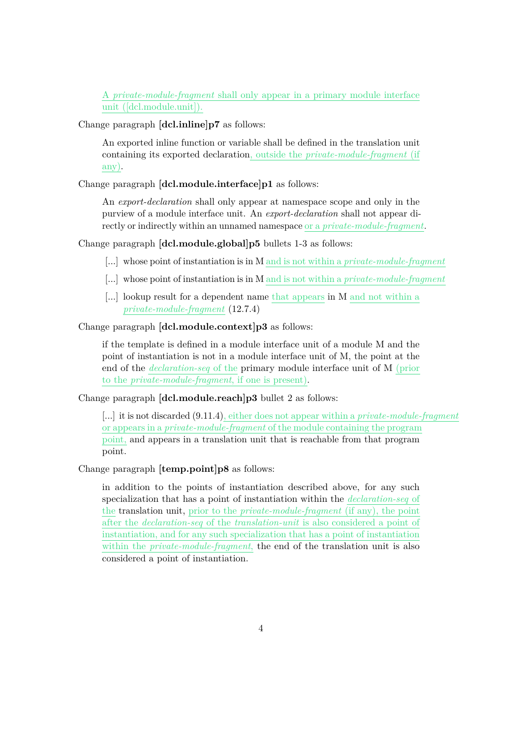A *private-module-fragment* shall only appear in a primary module interface unit ([dcl.module.unit]).

Change paragraph **[dcl.inline]p7** as follows:

An exported inline function or variable shall be defined in the translation unit containing its exported declaration, outside the *private-module-fragment* (if any).

Change paragraph **[dcl.module.interface]p1** as follows:

An *export-declaration* shall only appear at namespace scope and only in the purview of a module interface unit. An *export-declaration* shall not appear directly or indirectly within an unnamed namespace or a *private-module-fragment*.

Change paragraph **[dcl.module.global]p5** bullets 1-3 as follows:

- [...] whose point of instantiation is in M and is not within a *private-module-fragment*
- [...] whose point of instantiation is in M and is not within a *private-module-fragment*
- [...] lookup result for a dependent name that appears in M and not within a *private-module-fragment* (12.7.4)

#### Change paragraph **[dcl.module.context]p3** as follows:

if the template is defined in a module interface unit of a module M and the point of instantiation is not in a module interface unit of M, the point at the end of the *declaration-seq* of the primary module interface unit of M (prior to the *private-module-fragment*, if one is present).

Change paragraph **[dcl.module.reach]p3** bullet 2 as follows:

[...] it is not discarded (9.11.4), either does not appear within a *private-module-fragment* or appears in a *private-module-fragment* of the module containing the program point, and appears in a translation unit that is reachable from that program point.

#### Change paragraph **[temp.point]p8** as follows:

in addition to the points of instantiation described above, for any such specialization that has a point of instantiation within the *declaration-seq* of the translation unit, prior to the *private-module-fragment* (if any), the point after the *declaration-seq* of the *translation-unit* is also considered a point of instantiation, and for any such specialization that has a point of instantiation within the *private-module-fragment*, the end of the translation unit is also considered a point of instantiation.